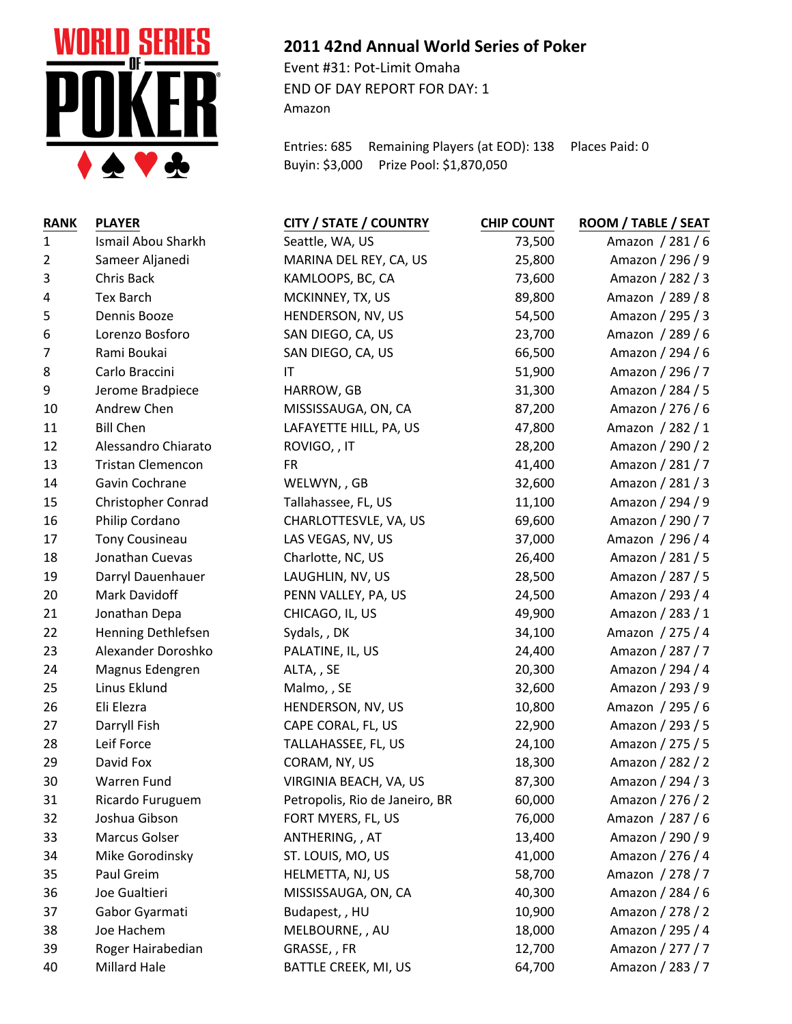

## **2011 42nd Annual World Series of Poker**

Event #31: Pot-Limit Omaha END OF DAY REPORT FOR DAY: 1 Amazon

Entries: 685 Remaining Players (at EOD): 138 Places Paid: 0 Buyin: \$3,000 Prize Pool: \$1,870,050

| <b>RANK</b>    | <b>PLAYER</b>            | <b>CITY / STATE / COUNTRY</b>  | <b>CHIP COUNT</b> | ROOM / TABLE / SEAT |
|----------------|--------------------------|--------------------------------|-------------------|---------------------|
| $\mathbf{1}$   | Ismail Abou Sharkh       | Seattle, WA, US                | 73,500            | Amazon / 281 / 6    |
| $\overline{2}$ | Sameer Aljanedi          | MARINA DEL REY, CA, US         | 25,800            | Amazon / 296 / 9    |
| $\mathbf{3}$   | Chris Back               | KAMLOOPS, BC, CA               | 73,600            | Amazon / 282 / 3    |
| $\overline{4}$ | <b>Tex Barch</b>         | MCKINNEY, TX, US               | 89,800            | Amazon / 289 / 8    |
| 5              | Dennis Booze             | HENDERSON, NV, US              | 54,500            | Amazon / 295 / 3    |
| 6              | Lorenzo Bosforo          | SAN DIEGO, CA, US              | 23,700            | Amazon / 289 / 6    |
| 7              | Rami Boukai              | SAN DIEGO, CA, US              | 66,500            | Amazon / 294 / 6    |
| 8              | Carlo Braccini           | IT                             | 51,900            | Amazon / 296 / 7    |
| 9              | Jerome Bradpiece         | HARROW, GB                     | 31,300            | Amazon / 284 / 5    |
| 10             | Andrew Chen              | MISSISSAUGA, ON, CA            | 87,200            | Amazon / 276 / 6    |
| 11             | <b>Bill Chen</b>         | LAFAYETTE HILL, PA, US         | 47,800            | Amazon / 282 / 1    |
| 12             | Alessandro Chiarato      | ROVIGO, , IT                   | 28,200            | Amazon / 290 / 2    |
| 13             | <b>Tristan Clemencon</b> | <b>FR</b>                      | 41,400            | Amazon / 281 / 7    |
| 14             | Gavin Cochrane           | WELWYN,, GB                    | 32,600            | Amazon / 281 / 3    |
| 15             | Christopher Conrad       | Tallahassee, FL, US            | 11,100            | Amazon / 294 / 9    |
| 16             | Philip Cordano           | CHARLOTTESVLE, VA, US          | 69,600            | Amazon / 290 / 7    |
| 17             | <b>Tony Cousineau</b>    | LAS VEGAS, NV, US              | 37,000            | Amazon / 296 / 4    |
| 18             | Jonathan Cuevas          | Charlotte, NC, US              | 26,400            | Amazon / 281 / 5    |
| 19             | Darryl Dauenhauer        | LAUGHLIN, NV, US               | 28,500            | Amazon / 287 / 5    |
| 20             | Mark Davidoff            | PENN VALLEY, PA, US            | 24,500            | Amazon / 293 / 4    |
| 21             | Jonathan Depa            | CHICAGO, IL, US                | 49,900            | Amazon / 283 / 1    |
| 22             | Henning Dethlefsen       | Sydals, , DK                   | 34,100            | Amazon / 275 / 4    |
| 23             | Alexander Doroshko       | PALATINE, IL, US               | 24,400            | Amazon / 287 / 7    |
| 24             | Magnus Edengren          | ALTA, , SE                     | 20,300            | Amazon / 294 / 4    |
| 25             | Linus Eklund             | Malmo, , SE                    | 32,600            | Amazon / 293 / 9    |
| 26             | Eli Elezra               | HENDERSON, NV, US              | 10,800            | Amazon / 295 / 6    |
| 27             | Darryll Fish             | CAPE CORAL, FL, US             | 22,900            | Amazon / 293 / 5    |
| 28             | Leif Force               | TALLAHASSEE, FL, US            | 24,100            | Amazon / 275 / 5    |
| 29             | David Fox                | CORAM, NY, US                  | 18,300            | Amazon / 282 / 2    |
| 30             | Warren Fund              | VIRGINIA BEACH, VA, US         | 87,300            | Amazon / 294 / 3    |
| 31             | Ricardo Furuguem         | Petropolis, Rio de Janeiro, BR | 60,000            | Amazon / 276 / 2    |
| 32             | Joshua Gibson            | FORT MYERS, FL, US             | 76,000            | Amazon / 287 / 6    |
| 33             | Marcus Golser            | ANTHERING, , AT                | 13,400            | Amazon / 290 / 9    |
| 34             | Mike Gorodinsky          | ST. LOUIS, MO, US              | 41,000            | Amazon / 276 / 4    |
| 35             | Paul Greim               | HELMETTA, NJ, US               | 58,700            | Amazon / 278 / 7    |
| 36             | Joe Gualtieri            | MISSISSAUGA, ON, CA            | 40,300            | Amazon / 284 / 6    |
| 37             | Gabor Gyarmati           | Budapest, , HU                 | 10,900            | Amazon / 278 / 2    |
| 38             | Joe Hachem               | MELBOURNE,, AU                 | 18,000            | Amazon / 295 / 4    |
| 39             | Roger Hairabedian        | GRASSE, , FR                   | 12,700            | Amazon / 277 / 7    |
| 40             | Millard Hale             | BATTLE CREEK, MI, US           | 64,700            | Amazon / 283 / 7    |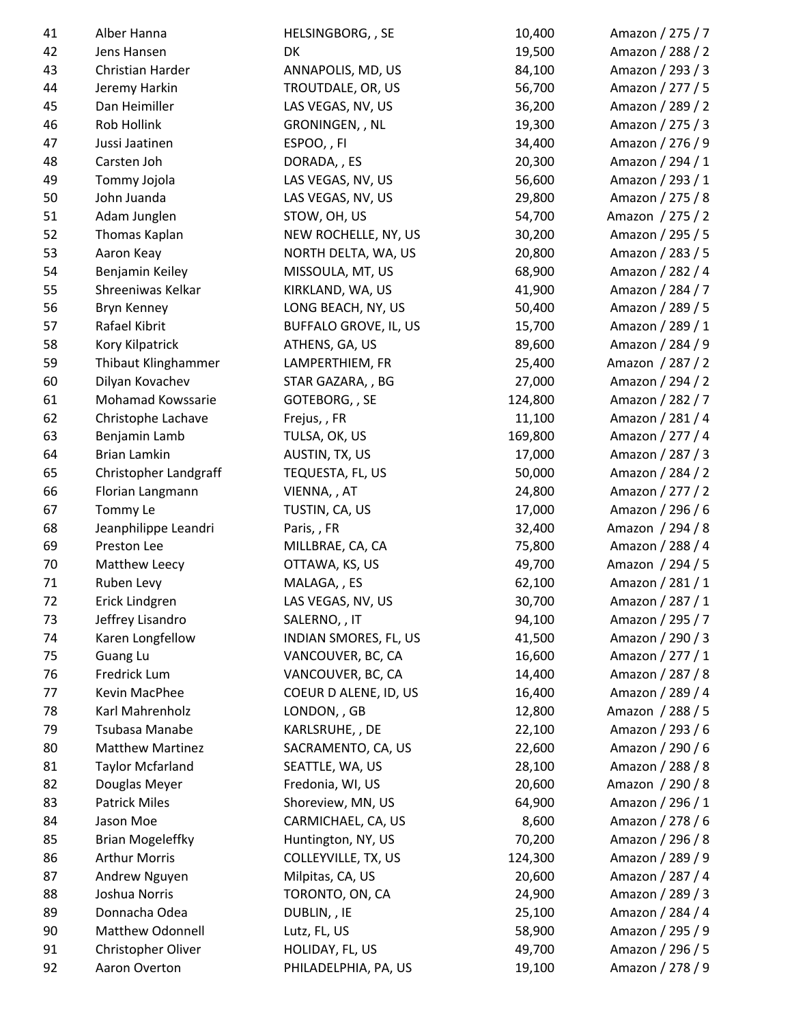| 41 | Alber Hanna             | HELSINGBORG, , SE            | 10,400  | Amazon / 275 / 7 |
|----|-------------------------|------------------------------|---------|------------------|
| 42 | Jens Hansen             | DK                           | 19,500  | Amazon / 288 / 2 |
| 43 | Christian Harder        | ANNAPOLIS, MD, US            | 84,100  | Amazon / 293 / 3 |
| 44 | Jeremy Harkin           | TROUTDALE, OR, US            | 56,700  | Amazon / 277 / 5 |
| 45 | Dan Heimiller           | LAS VEGAS, NV, US            | 36,200  | Amazon / 289 / 2 |
| 46 | Rob Hollink             | GRONINGEN, , NL              | 19,300  | Amazon / 275 / 3 |
| 47 | Jussi Jaatinen          | ESPOO,, FI                   | 34,400  | Amazon / 276 / 9 |
| 48 | Carsten Joh             | DORADA, , ES                 | 20,300  | Amazon / 294 / 1 |
| 49 | Tommy Jojola            | LAS VEGAS, NV, US            | 56,600  | Amazon / 293 / 1 |
| 50 | John Juanda             | LAS VEGAS, NV, US            | 29,800  | Amazon / 275 / 8 |
| 51 | Adam Junglen            | STOW, OH, US                 | 54,700  | Amazon / 275 / 2 |
| 52 | Thomas Kaplan           | NEW ROCHELLE, NY, US         | 30,200  | Amazon / 295 / 5 |
| 53 | Aaron Keay              | NORTH DELTA, WA, US          | 20,800  | Amazon / 283 / 5 |
| 54 | Benjamin Keiley         | MISSOULA, MT, US             | 68,900  | Amazon / 282 / 4 |
| 55 | Shreeniwas Kelkar       | KIRKLAND, WA, US             | 41,900  | Amazon / 284 / 7 |
| 56 | Bryn Kenney             | LONG BEACH, NY, US           | 50,400  | Amazon / 289 / 5 |
| 57 | Rafael Kibrit           | <b>BUFFALO GROVE, IL, US</b> | 15,700  | Amazon / 289 / 1 |
| 58 | Kory Kilpatrick         | ATHENS, GA, US               | 89,600  | Amazon / 284 / 9 |
| 59 | Thibaut Klinghammer     | LAMPERTHIEM, FR              | 25,400  | Amazon / 287 / 2 |
| 60 | Dilyan Kovachev         | STAR GAZARA, , BG            | 27,000  | Amazon / 294 / 2 |
| 61 | Mohamad Kowssarie       | GOTEBORG, , SE               | 124,800 | Amazon / 282 / 7 |
| 62 | Christophe Lachave      | Frejus, , FR                 | 11,100  | Amazon / 281 / 4 |
| 63 | Benjamin Lamb           | TULSA, OK, US                | 169,800 | Amazon / 277 / 4 |
| 64 | <b>Brian Lamkin</b>     | AUSTIN, TX, US               | 17,000  | Amazon / 287 / 3 |
| 65 | Christopher Landgraff   | TEQUESTA, FL, US             | 50,000  | Amazon / 284 / 2 |
| 66 | Florian Langmann        | VIENNA, , AT                 | 24,800  | Amazon / 277 / 2 |
| 67 | Tommy Le                | TUSTIN, CA, US               | 17,000  | Amazon / 296 / 6 |
| 68 | Jeanphilippe Leandri    | Paris,, FR                   | 32,400  | Amazon / 294 / 8 |
| 69 | Preston Lee             | MILLBRAE, CA, CA             | 75,800  | Amazon / 288 / 4 |
| 70 | Matthew Leecy           | OTTAWA, KS, US               | 49,700  | Amazon / 294 / 5 |
| 71 | Ruben Levy              | MALAGA, , ES                 | 62,100  | Amazon / 281 / 1 |
| 72 | Erick Lindgren          | LAS VEGAS, NV, US            | 30,700  | Amazon / 287 / 1 |
| 73 | Jeffrey Lisandro        | SALERNO, , IT                | 94,100  | Amazon / 295 / 7 |
| 74 | Karen Longfellow        | INDIAN SMORES, FL, US        | 41,500  | Amazon / 290 / 3 |
| 75 | Guang Lu                | VANCOUVER, BC, CA            | 16,600  | Amazon / 277 / 1 |
| 76 | Fredrick Lum            | VANCOUVER, BC, CA            | 14,400  | Amazon / 287 / 8 |
| 77 | Kevin MacPhee           | COEUR D ALENE, ID, US        | 16,400  | Amazon / 289 / 4 |
| 78 | Karl Mahrenholz         | LONDON, , GB                 | 12,800  | Amazon / 288 / 5 |
| 79 | Tsubasa Manabe          | KARLSRUHE, , DE              | 22,100  | Amazon / 293 / 6 |
|    | <b>Matthew Martinez</b> | SACRAMENTO, CA, US           | 22,600  | Amazon / 290 / 6 |
| 80 |                         |                              |         |                  |
| 81 | <b>Taylor Mcfarland</b> | SEATTLE, WA, US              | 28,100  | Amazon / 288 / 8 |
| 82 | Douglas Meyer           | Fredonia, WI, US             | 20,600  | Amazon / 290 / 8 |
| 83 | <b>Patrick Miles</b>    | Shoreview, MN, US            | 64,900  | Amazon / 296 / 1 |
| 84 | Jason Moe               | CARMICHAEL, CA, US           | 8,600   | Amazon / 278 / 6 |
| 85 | <b>Brian Mogeleffky</b> | Huntington, NY, US           | 70,200  | Amazon / 296 / 8 |
| 86 | <b>Arthur Morris</b>    | COLLEYVILLE, TX, US          | 124,300 | Amazon / 289 / 9 |
| 87 | Andrew Nguyen           | Milpitas, CA, US             | 20,600  | Amazon / 287 / 4 |
| 88 | Joshua Norris           | TORONTO, ON, CA              | 24,900  | Amazon / 289 / 3 |
| 89 | Donnacha Odea           | DUBLIN, , IE                 | 25,100  | Amazon / 284 / 4 |
| 90 | Matthew Odonnell        | Lutz, FL, US                 | 58,900  | Amazon / 295 / 9 |
| 91 | Christopher Oliver      | HOLIDAY, FL, US              | 49,700  | Amazon / 296 / 5 |
| 92 | Aaron Overton           | PHILADELPHIA, PA, US         | 19,100  | Amazon / 278 / 9 |